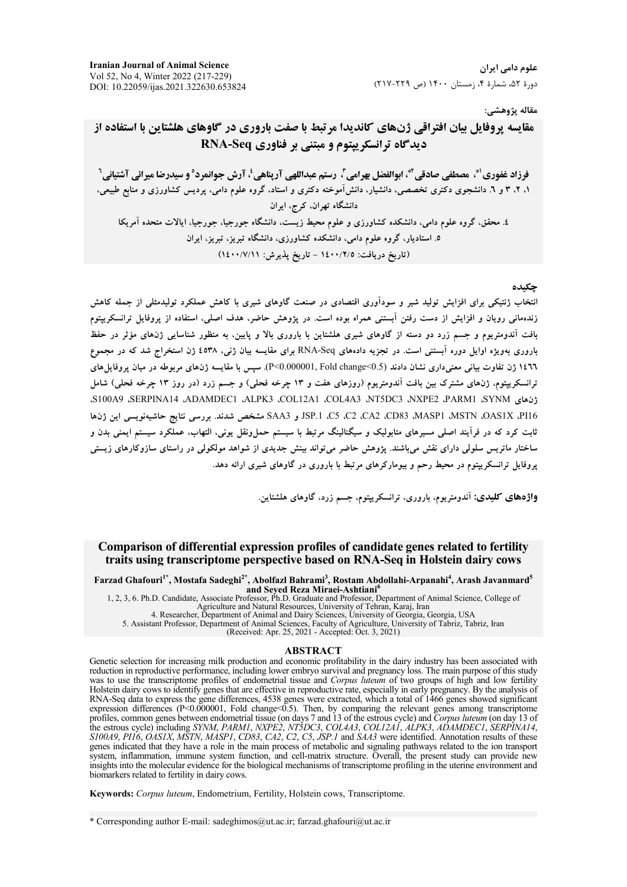**Iranian Journal of Animal Science** Vol 52, No 4, Winter 2022 (217-229) DOI: 10.22059/ijas.2021.322630.653824

علوم دامی ایران دورهٔ ۵۲، شمارهٔ ۴، زمستان ۱۴۰۰ (ص ۲۲۹-۲۱۷)

#### مقاله پژوهشي:

مقایسه پروفایل بیان افتراقی ژنهای کاندیدا مرتبط با صفت باروری در گاوهای هلشتاین با استفاده از **ديدگاه ترانسکريتوم و ميتني بر فناوري RNA-Seg** 

فرزاد غفوري "، مصطفى صادقي آ"، ابوالفضل بهرامي "، رستم عبداللهي آريناهي ، آرش جوانمرد°و سيدرضا مبرائي آشتياني <sup>٦</sup> ۱، ۲، ۳ و ٦. دانشجوی دکتری تخصصی، دانشیار، دانشآموخته دکتری و استاد، گروه علوم دامی، پردیس کشاورزی و منابع طبیعی، دانشگاه تهران، کرج، ایران

٤. محقق، گروه علوم دامی، دانشکده کشاورزی و علوم محیط زیست، دانشگاه جورجیا، جورجیا، ایالات متحده آمریکا ۵. استادیار، گروه علوم دامی، دانشکده کشاورزی، دانشگاه تیریز، تیریز، ایران (تاريخ دريافت: ١٤٠٠/٢/٥ - تاريخ پذيرش: ١٤٠٠/٧/١١)

#### حكىدە

انتخاب ژنتیکی برای افزایش تولید شیر و سودآوری اقتصادی در صنعت گاوهای شیری با کاهش عملکرد تولیدمثلی از جمله کاهش زندهمانی رویان و افزایش از دست رفتن آبستنی همراه بوده است. در پژوهش حاضر، هدف اصلی، استفاده از پروفایل ترانسکرییتوم بافت آندومتریوم و جسم زرد دو دسته از گاوهای شیری هلشتاین با باروری بالا و پایین، به منظور شناسایی ژنهای مؤثر در حفظ باروری بهویژه اوایل دوره آبستنی است. در تجزیه دادههای RNA-Seq برای مقایسه بیان ژنی، ٤٥٣٨ ژن استخراج شد که در مجموع ۱٤٦٦ ژن تفاوت بیانی معنیداری نشان دادند (P<0.000001, Fold change<0.5). سیس با مقایسه ژنهای مربوطه در میان پروفایل های ترانسکریپتوم، ژنهای مشترک بین بافت آندومتریوم (روزهای هفت و ۱۳ چرخه فحلی) و جسم زرد (در روز ۱۳ چرخه فحلی) شامل S100A9 SERPINA14 (ADAMDEC1 (ALPK3 (COL12A1 (COL4A3 (NT5DC3 (NXPE2 PARM1 (SYNM P116، JSP.1 ،C5 ،C2 ،CA2 ،CD83 ،MASP1 ،MSTN ،OAS1X ،P116 مشخص شدند. بررسي نتايج حاشيهنويسي اين ژنها ثابت کرد که در فرآیند اصلی مسیرهای متابولیک و سیگنالینگ مرتبط با سیستم حملeنقل یونی، التهاب، عملکرد سیستم ایمنی بدن و ساختار ماتریس سلولی دارای نقش میباشند. پژوهش حاضر می تواند بینش جدیدی از شواهد مولکولی در راستای سازوکارهای زیستی پروفایل ترانسکریپتوم در محیط رحم و بیومارکرهای مرتبط با باروری در گاوهای شیری ارائه دهد.

واژههای کلیدی: آندومتریوم، باروری، ترانسکریپتوم، جسم زرد، گاوهای هلشتاین.

#### Comparison of differential expression profiles of candidate genes related to fertility traits using transcriptome perspective based on RNA-Seq in Holstein dairy cows

Farzad Ghafouri<sup>1\*</sup>, Mostafa Sadeghi<sup>2\*</sup>, Abolfazl Bahrami<sup>3</sup>, Rostam Abdollahi-Arpanahi<sup>4</sup>, Arash Javanmard<sup>5</sup> and Seved Reza Miraei-Ashtiani<sup>6</sup>

and Seven Neza Will act-Ashuam<br>1, 2, 3, 6. Ph.D. Candidate, Associate Professor, Ph.D. Graduate and Professor, Department of Animal Science, College of<br>4. Researcher, Department of Animal and Dairy Sciences, University of

5. Assistant Professor, Department of Animal Sciences, Faculty of Agriculture, University of Tabriz, Tabriz, Iran (Received: Apr. 25, 2021 - Accepted: Oct. 3, 2021)

# **ABSTRACT**

Genetic selection for increasing milk production and economic profitability in the dairy industry has been associated with reduction in reproductive performance, including lower embryo survival and pregnancy loss. The main purpose of this study was to use the transcriptome profiles of endometrial tissue and *Corpus luteum* of two groups of high and low fertility Holstein dairy cows to identify genes that are effective in reproductive rate, especially in early pregnancy. By the analysis of RNA-Seq data to express the gene differences, 4538 genes were extracted, which a total of 1466 genes showed significant expression differences (P<0.000001, Fold change<0.5). Then, by comparing the relevant genes among tra experience of the estrous cycle) and Corpus later monder in profiles, common genes between endometrial tissue (on days 7 and 13 of the estrous cycle) and Corpus later m (on day 13 of the estrous cycle) including SYNM, PARM genes indicated that they have a role in the main process of metabolic and signaling pathways related to the ion transport system, inflammation, immune system function, and cell-matrix structure. Overall, the present study can provide new insights into the molecular evidence for the biological mechanisms of transcriptome profiling in the uterine environment and biomarkers related to fertility in dairy cows.

Keywords: Corpus luteum, Endometrium, Fertility, Holstein cows, Transcriptome.

\* Corresponding author E-mail: sadeghimos@ut.ac.ir; farzad.ghafouri@ut.ac.ir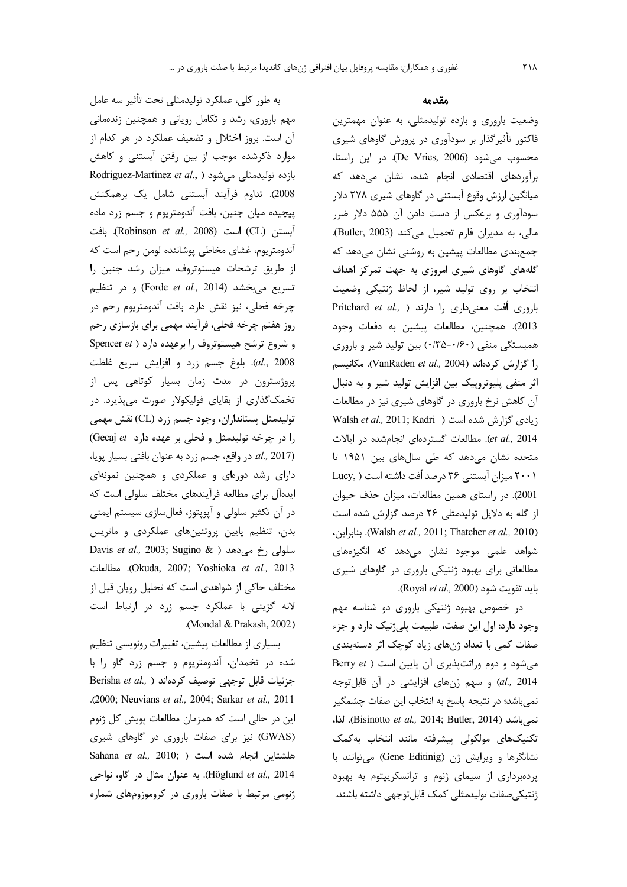به طور كلي، عملكرد توليدمثلي تحت تأثير سه عامل مهم باروری، رشد و تکامل رویانی و همچنین زندهمانی آن است. بروز اختلال و تضعیف عملکرد در هر کدام از موارد ذکرشده موجب از بین رفتن آبستنی و کاهش Rodriguez-Martinez et al., ) بازده تولیدمثلی میشود 2008). تداوم فرآيند آبستنى شامل يک برهمكنش پیچیده میان جنین، بافت آندومتریوم و جسم زرد ماده بافت (CL) است (Robinson et al., 2008). بافت آندومتريوم، غشاي مخاطي پوشاننده لومن رحم است كه از طريق ترشحات هيستوتروف، ميزان رشد جنين را تسريع مى بخشد (Forde et al., 2014) و در تنظيم چرخه فحلي، نيز نقش دارد. بافت آندومتريوم رحم در روز هفتم چرخه فحلی، فرآیند مهمی برای بازسازی رحم Spencer et ) در ابرعهده دارد ( Spencer et al., 2008). بلوغ جسم زرد و افزايش سريع غلظت پروژسترون در مدت زمان بسیار کوتاهی پس از تخمک گذاری از بقایای فولیکولار صورت می پذیرد. در توليدمثل پستانداران، وجود جسم زرد (CL) نقش مهمي را در چرخه تولیدمثل و فحلی بر عهده دارد Gecaj et) در واقع، جسم زرد به عنوان بافتی بسیار یویا،  $al$ . 2017) دارای رشد دورهای و عملکردی و همچنین نمونهای ایدهآل برای مطالعه فرآیندهای مختلف سلولی است که در آن تکثیر سلولی و آپوپتوز، فعالسازی سیستم ایمنی بدن، تنظیم پایین پروتئینهای عملکردی و ماتریس Davis et al., 2003; Sugino & ) سلولی رخ میدهد ( Cavis et al., 2003; Sugino & Okuda, 2007; Yoshioka et al., 2013). مطالعات مختلف حاکی از شواهدی است که تحلیل رویان قبل از لانه گزینی با عملکرد جسم زرد در ارتباط است .(Mondal & Prakash, 2002)

بسیاری از مطالعات پیشین، تغییرات رونویسی تنظیم شده در تخمدان، آندومتریوم و جسم زرد گاو را با Berisha et al., ) جزئيات قابل توجهي توصيف كردهاند .(2000; Neuvians et al., 2004; Sarkar et al., 2011 این در حالی است که همزمان مطالعات پویش کل ژنوم (GWAS) نیز برای صفات باروری در گاوهای شیری Sahana et al., 2010; ) هلشتاين انجام شده است Höglund et al., 2014). به عنوان مثال در گاو، نواحی ژنومی مرتبط با صفات باروری در کروموزومهای شماره

#### مقدمه

وضعیت باروری و بازده تولیدمثلی، به عنوان مهمترین فاکتور تأثیرگذار بر سودآوری در پرورش گاوهای شیری محسوب می شود (De Vries, 2006). در این راستا، برآوردهای اقتصادی انجام شده، نشان میدهد که میانگین ارزش وقوع آبستنی در گاوهای شیری ۲۷۸ دلار سودآوری و برعکس از دست دادن آن ۵۵۵ دلار ضرر مالي، به مديران فارم تحميل مي كند (Butler, 2003). جمع بندی مطالعات پیشین به روشنی نشان میدهد که گلههای گاوهای شیری امروزی به جهت تمرکز اهداف انتخاب بر روى توليد شير، از لحاظ ژنتيكى وضعيت Pritchard et al., ) باروری أفت معنیداری را دارند 2013). همچنین، مطالعات پیشین به دفعات وجود همبستگی منفی (۰/۴۰–۰/۳۵) بین تولید شیر و باروری , اگزارش کردهاند (VanRaden et al., 2004). مکانیسم اثر منفی پلیوتروپیک بین افزایش تولید شیر و به دنبال آن کاهش نرخ باروری در گاوهای شیری نیز در مطالعات Walsh et al., 2011; Kadri ) نیادی گزارش شده است et al., 2014). مطالعات گستردهای انجام شده در ایالات متحدہ نشان می دھد که طی سال های بین ۱۹۵۱ تا ۲۰۰۱ میزان آبستنی ۳۶ درصد أفت داشته است ( .Lucy 2001). در راستای همین مطالعات، میزان حذف حیوان از گله به دلایل تولیدمثلی ۲۶ درصد گزارش شده است (Walsh et al., 2011; Thatcher et al., 2010). بنابراين، شواهد علمی موجود نشان میدهد که انگیزههای مطالعاتی برای بهبود ژنتیکی باروری در گاوهای شیری بايد تقويت شود (Royal *et al.,* 2000).

در خصوص بهبود ژنتیکی باروری دو شناسه مهم وجود دارد: اول این صفت، طبیعت پلیژنیک دارد و جزء صفات کمی با تعداد ژنهای زیاد کوچک اثر دستهبندی می شود و دوم وراثت پذیری آن پایین است ( Berry et al., 2014) وسهم ژنهای افزایشی در آن قابل توجه نمي باشد؛ در نتيجه پاسخ به انتخاب اين صفات چشمگير نمي باشد (Bisinotto et al., 2014; Butler, 2014). لذا، تكنيكهاى مولكولى پيشرفته مانند انتخاب بهكمك نشانگرها و ویرایش ژن (Gene Editinig) می توانند با پردهبرداری از سیمای ژنوم و ترانسکریپتوم به بهبود ژنتیکی صفات تولیدمثلی کمک قابل توجهی داشته باشند.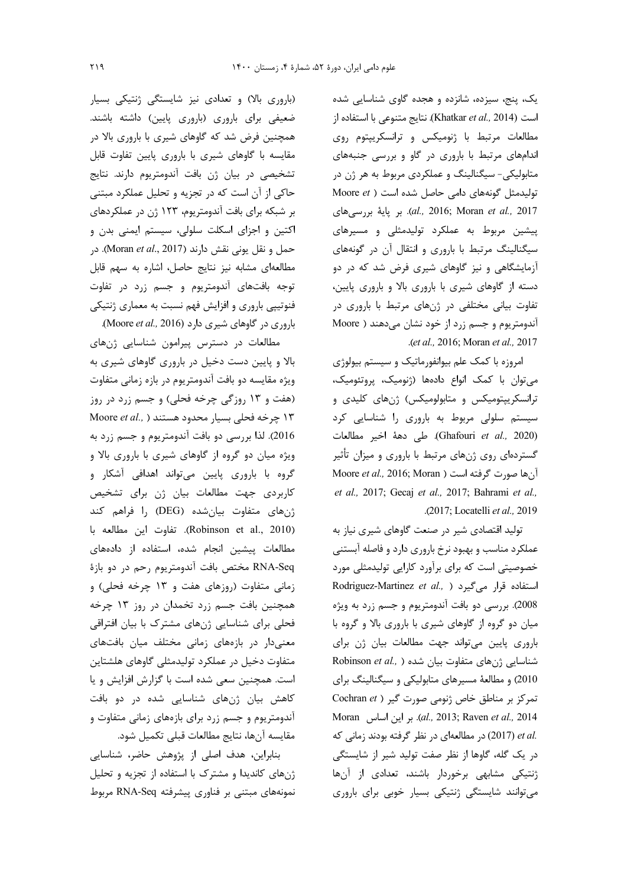یک، پنج، سیزده، شانزده و هجده گاوی شناسایی شده است (Khatkar et al., 2014). نتايج متنوعي با استفاده از مطالعات مرتبط با ژنومیکس و ترانسکریپتوم روی اندامهای مرتبط با باروری در گاو و بررسی جنبههای متابولیکی- سیگنالینگ و عملکردی مربوط به هر ژن در تولیدمثل گونههای دامی حاصل شده است ( Moore et al., 2016; Moran et al., 2017). بر پايهٔ بررسیهای پیشین مربوط به عملکرد تولیدمثلی و مسیرهای سیگنالینگ مرتبط با باروری و انتقال آن در گونههای آزمایشگاهی و نیز گاوهای شیری فرض شد که در دو دسته از گاوهای شیری با باروری بالا و باروری پایین، تفاوت بیانی مختلفی در ژنهای مرتبط با باروری در آندومتریوم و جسم زرد از خود نشان میدهند ( Moore .(et al., 2016; Moran et al., 2017

امروزه با کمک علم بیوانفورماتیک و سیستم بیولوژی می توان با کمک انواع دادهها (ژنومیک، پروتئومیک، ترانسکرییتومیکس و متابولومیکس) ژنهای کلیدی و سیستم سلولی مربوط به باروری را شناسایی کرد (Ghafouri et al., 2020). طي دهة اخير مطالعات گستردهای روی ژنهای مرتبط با باروری و میزان تأثیر Moore et al., 2016; Moran ) أنها صورت گرفته است et al., 2017; Gecaj et al., 2017; Bahrami et al., .(2017; Locatelli et al., 2019

تولید اقتصادی شیر در صنعت گاوهای شیری نیاز به عملکرد مناسب و بهبود نرخ باروری دارد و فاصله آبستنی خصوصیتی است که برای برآورد کارایی تولیدمثلی مورد Rodriguez-Martinez et al., ) استفاده قرار میگیرد 2008). بررسی دو بافت آندومتریوم و جسم زرد به ویژه میان دو گروه از گاوهای شیری با باروری بالا و گروه با باروري پايين مي تواند جهت مطالعات بيان ژن براي Robinson et al., ) شناسایی ژنهای متفاوت بیان شده ( 2010) و مطالعهٔ مسیرهای متابولیکی و سیگنالینگ برای تمرکز بر مناطق خاص ژنومی صورت گیر ( Cochran et Moran (این اساس, al., 2013; Raven et al., 2014 .et al (2017) در مطالعهای در نظر گرفته بودند زمانی که در یک گله، گاوها از نظر صفت تولید شیر از شایستگی ژنتیکی مشابهی برخوردار باشند، تعدادی از آنها می توانند شایستگی ژنتیکی بسیار خوبی برای باروری

(باروری بالا) و تعدادی نیز شایستگی ژنتیکی بسیار ضعیفی برای باروری (باروری پایین) داشته باشند. همچنین فرض شد که گاوهای شیری با باروری بالا در مقایسه با گاوهای شیری با باروری پایین تفاوت قابل تشخيصي در بيان ژن بافت آندومتريوم دارند. نتايج حاکی از آن است که در تجزیه و تحلیل عملکرد مبتنی بر شبکه برای بافت آندومتریوم، ۱۲۳ ژن در عملکردهای اکتین و اجزای اسکلت سلولی، سیستم ایمنی بدن و حمل و نقل يوني نقش دارند (Moran et al., 2017). در مطالعهای مشابه نیز نتایج حاصل، اشاره به سهم قابل توجه بافتهای آندومتریوم و جسم زرد در تفاوت فنوتیپی باروری و افزایش فهم نسبت به معماری ژنتیکی باروری در گاوهای شیری دارد (Moore et al., 2016).

مطالعات در دسترس پیرامون شناسایی ژنهای بالا و پایین دست دخیل در باروری گاوهای شیری به ویژه مقایسه دو بافت آندومتریوم در بازه زمانی متفاوت (هفت و ۱۳ روزگی چرخه فحلی) و جسم زرد در روز Moore et al., ) اچرخه فحلی بسیار محدود هستند 2016). لذا بررسي دو بافت آندومتريوم و جسم زرد به ویژه میان دو گروه از گاوهای شیری با باروری بالا و گروه با باروری پایین میتواند اهدافی آشکار و کاربردی جهت مطالعات بیان ژن برای تشخیص ژنهای متفاوت بیانشده (DEG) را فراهم کند (Robinson et al., 2010). تفاوت اين مطالعه با مطالعات پیشین انجام شده، استفاده از دادههای RNA-Seq مختص بافت آندومتريوم رحم در دو بازهٔ زمانی متفاوت (روزهای هفت و ۱۳ چرخه فحلی) و همچنین بافت جسم زرد تخمدان در روز ۱۳ چرخه فحلی برای شناسایی ژنهای مشترک با بیان افتراقی معنیدار در بازههای زمانی مختلف میان بافتهای متفاوت دخیل در عملکرد تولیدمثلی گاوهای هلشتاین است. همچنین سعی شده است با گزارش افزایش و یا کاهش بیان ژنهای شناسایی شده در دو بافت آندومتریوم و جسم زرد برای بازههای زمانی متفاوت و مقايسه آنها، نتايج مطالعات قبلي تكميل شود.

بنابراین، هدف اصلی از پژوهش حاضر، شناسایی ژنهای کاندیدا و مشترک با استفاده از تجزیه و تحلیل نمونههای مبتنی بر فناوری پیشرفته RNA-Seq مربوط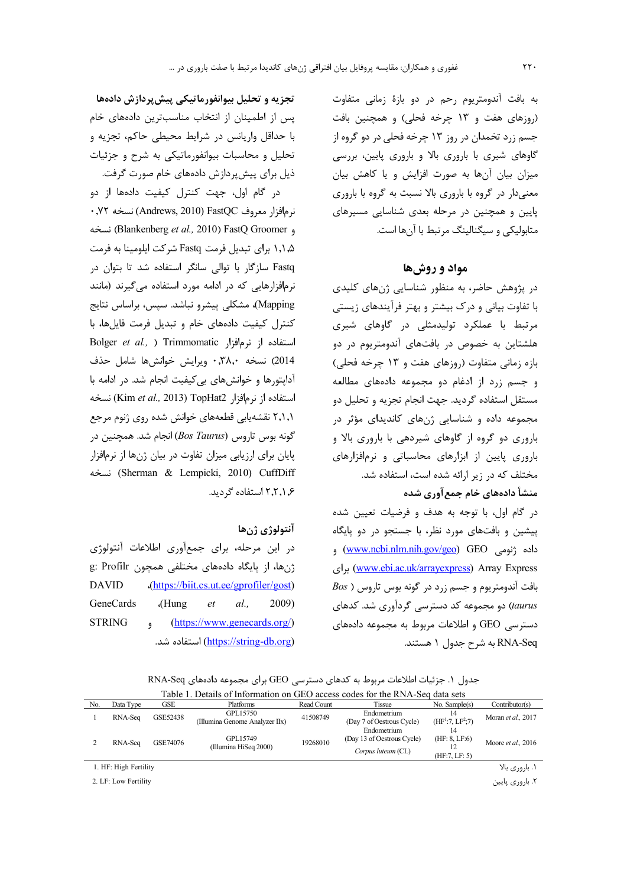به بافت آندومتریوم رحم در دو بازهٔ زمانی متفاوت (روزهای هفت و ١٣ چرخه فحلی) و همچنين بافت جسم زرد تخمدان در روز ۱۳ چرخه فحلی در دو گروه از گاوهای شیری با باروری بالا و باروری پایین، بررسی میزان بیان آنها به صورت افزایش و یا کاهش بیان معنیدار در گروه با باروری بالا نسبت به گروه با باروری پایین و همچنین در مرحله بعدی شناسایی مسیرهای متابوليکي و سيگنالينگ مرتبط با آنها است.

#### مواد و روشها

در پژوهش حاضر، به منظور شناسایی ژنهای کلیدی با تفاوت بیانی و درک بیشتر و بهتر فرآیندهای زیستی مرتبط با عملکرد تولیدمثلی در گاوهای شیری هلشتاین به خصوص در بافتهای آندومتریوم در دو بازه زمانی متفاوت (روزهای هفت و ۱۳ چرخه فحلی) و جسم زرد از ادغام دو مجموعه دادههای مطالعه مستقل استفاده گردید. جهت انجام تجزیه و تحلیل دو مجموعه داده و شناسایی ژنهای کاندیدای مؤثر در باروری دو گروه از گاوهای شیردهی با باروری بالا و باروری پایین از ابزارهای محاسباتی و نرمافزارهای مختلف که در زیر ارائه شده است، استفاده شد.

## منشأ دادههای خام جمع آوری شده

در گام اول، با توجه به هدف و فرضیات تعیین شده پیشین و بافتهای مورد نظر، با جستجو در دو پایگاه داده ژنومی GEO (www.ncbi.nlm.nih.gov/geo) و <u>(www.ebi.ac.uk/arrayexpress</u>) Array Express) برای  $B$ بافت آندومتریوم و جسم زرد در گونه بوس تاروس ( taurus) دو مجموعه کد دسترسی گردآوری شد. کدهای دسترسی GEO و اطلاعات مربوط به مجموعه دادههای RNA-Seq به شرح جدول ۱ هستند.

تجزیه و تحلیل بیوانفورماتیکی پیشپردازش دادهها پس از اطمینان از انتخاب مناسبترین دادههای خام با حداقل واریانس در شرایط محیطی حاکم، تجزیه و تحلیل و محاسبات بیوانفورماتیکی به شرح و جزئیات ذیل برای پیش پردازش دادههای خام صورت گرفت.

در گام اول، جهت کنترل کیفیت دادهها از دو نرمافزار معروف Andrews, 2010) FastQC) نسخه ۷۲. و Blankenberg et al., 2010) FastQ Groomer) نسخه ۱٬۱٫۵ برای تبدیل فرمت Fastq شرکت ایلومینا به فرمت Fastq سازگار با توالی سانگر استفاده شد تا بتوان در نرمافزارهایی که در ادامه مورد استفاده می گیرند (مانند Mapping)، مشكلي پيشرو نباشد. سپس، براساس نتايج کنترل کیفیت دادههای خام و تبدیل فرمت فایلها، با Bolger et al., ) Trimmomatic (ز نرمافزار Bolger et al., ) 2014) نسخه ٣٨,٠. ويرايش خوانشها شامل حذف آداپتورها و خوانشهای بی کیفیت انجام شد. در ادامه با استفاده از نرمافزار (Kim et al., 2013) TopHat2) نسخه ۲٬۱٫۱ نقشه یابی قطعههای خوانش شده روی ژنوم مرجع كونه بوس تاروس (Bos Taurus) انجام شد. همچنين در پایان برای ارزیابی میزان تفاوت در بیان ژنها از نرمافزار نسخه (Sherman & Lempicki, 2010) CuffDiff ۲٫۲٫۱٫۶ استفاده گردید.

## آنتولوژي ژنھا

در این مرحله، برای جمعآوری اطلاعات انتولوژی g: Profilr (بایگاه دادههای مختلفی همچون g: Profilr **DAVID** .(https://biit.cs.ut.ee/gprofiler/gost) GeneCards  $(Hung)$  $et$  $al.,$  $2009$ **STRING**  $\ddot{a}$ (https://www.genecards.org/) (https://string-db.org) استفاده شد.

جدول ١. جزئيات اطلاعات مربوط به كدهاى دسترسى GEO براى مجموعه دادههاى RNA-Seq

| Table 1. Details of Information on GEO access codes for the RNA-Seq data sets |           |          |                                   |            |                            |                                          |                    |  |
|-------------------------------------------------------------------------------|-----------|----------|-----------------------------------|------------|----------------------------|------------------------------------------|--------------------|--|
| No.                                                                           | Data Type | GSE      | Platforms                         | Read Count | Tissue                     | No. Sample(s)                            | Contributor(s)     |  |
|                                                                               | RNA-Sea   | GSE52438 | GPL15750                          | 41508749   | Endometrium                |                                          | Moran et al., 2017 |  |
|                                                                               |           |          | (Illumina Genome Analyzer IIx)    |            | (Day 7 of Oestrous Cycle)  | (HF <sup>1</sup> :7, LF <sup>2</sup> :7) |                    |  |
|                                                                               |           |          |                                   |            | Endometrium                |                                          |                    |  |
|                                                                               | RNA-Sea   | GSE74076 | GPL15749<br>(Illumina HiSeq 2000) | 19268010   | (Day 13 of Oestrous Cycle) | (HF: 8, LF: 6)                           | Moore et al., 2016 |  |
|                                                                               |           |          |                                   |            | Corpus luteum (CL)         | (HF:7, LF: 5)                            |                    |  |
|                                                                               |           |          |                                   |            |                            |                                          |                    |  |
| 1. HF: High Fertility                                                         |           |          |                                   |            |                            | ۰۱. باروری بالا                          |                    |  |
|                                                                               |           |          |                                   |            |                            |                                          |                    |  |

2. LF: Low Fertility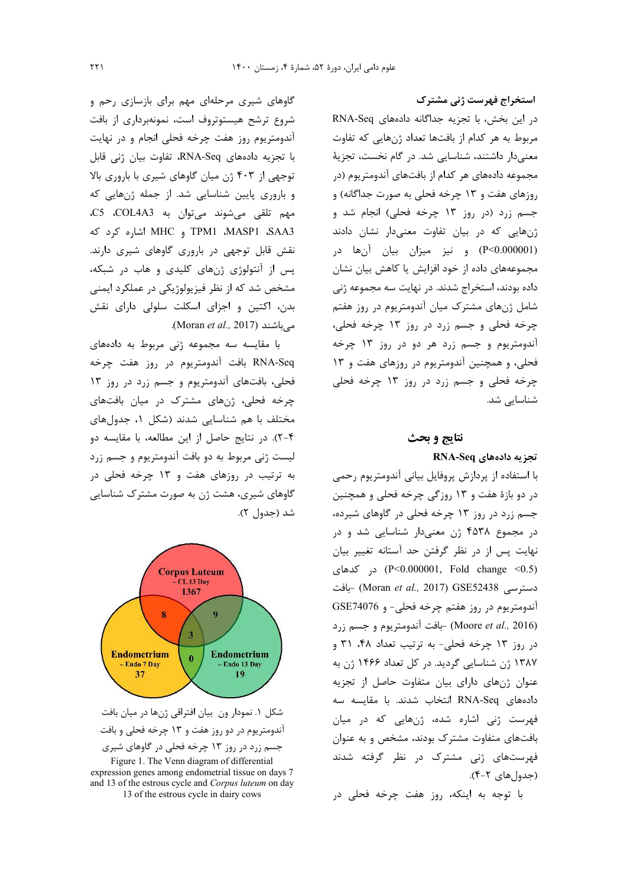استخراج فهرست ژنی مشترک در این بخش، با تجزیه جداگانه دادههای RNA-Seq مربوط به هر کدام از بافتها تعداد ژنهایی که تفاوت معنی دار داشتند، شناسایی شد. در گام نخست، تجزیهٔ مجموعه دادههای هر کدام از بافتهای آندومتریوم (در روزهای هفت و ۱۳ چرخه فحلی به صورت جداگانه) و جسم زرد (در روز ۱۳ چرخه فحلی) انجام شد و ژنهایی که در بیان تفاوت معنیدار نشان دادند (P<0.000001) و نيز ميزان بيان آنها در مجموعههای داده از خود افزایش یا کاهش بیان نشان داده بودند، استخراج شدند. در نهایت سه مجموعه ژنی شامل ژنهای مشترک میان آندومتریوم در روز هفتم چرخه فحلی و جسم زرد در روز ۱۳ چرخه فحلی، آندومتریوم و جسم زرد هر دو در روز ۱۳ چرخه فحلی، و همچنین آندومتریوم در روزهای هفت و ۱۳ چرخه فحلی و جسم زرد در روز ۱۳ چرخه فحلی شناسایی شد.

#### نتايج و بحث

## تجزیه دادههای RNA-Seq

با استفاده از پردازش پروفایل بیانی آندومتریوم رحمی در دو بازهٔ هفت و ۱۳ روزگی چرخه فحلی و همچنین جسم زرد در روز ۱۳ چرخه فحلی در گاوهای شیرده، در مجموع ۴۵۳۸ ژن معنیدار شناسایی شد و در نهایت پس از در نظر گرفتن حد آستانه تغییر بیان (P<0.000001, Fold change <0.5) در کدهای دسترسی GSE52438 (Moran et al., 2017) GSE52438 آندومتریوم در روز هفتم چرخه فحلی- و GSE74076 (Moore et al., 2016) -بافت آندومتريوم و جسم زرد در روز ۱۳ چرخه فحلی- به ترتیب تعداد ۴۸، ۳۱ و ۱۳۸۷ ژن شناسایی گردید. در کل تعداد ۱۴۶۶ ژن به عنوان ژنهای دارای بیان متفاوت حاصل از تجزیه دادههای RNA-Seq انتخاب شدند. با مقایسه سه فهرست ژنی اشاره شده، ژنهایی که در میان بافتهای متفاوت مشترک بودند، مشخص و به عنوان فهرستهای ژنی مشترک در نظر گرفته شدند (جدولهای ۲-۴).

با توجه به اینکه، روز هفت چرخه فحلی در

گاوهای شیری مرحلهای مهم برای بازسازی رحم و شروع ترشح هیستوتروف است، نمونهبرداری از بافت آندومتریوم روز هفت چرخه فحلی انجام و در نهایت با تجزیه دادههای RNA-Seq، تفاوت بیان ژنی قابل توجهی از ۴۰۳ ژن میان گاوهای شیری با باروری بالا و باروری پایین شناسایی شد. از جمله ژنهایی که مهم تلقى مى شوند مى توان به C5 .COL4A3 SAA3، TPM1 ،MASP1 و MHC اشاره كرد كه نقش قابل توجهی در باروری گاوهای شیری دارند. پس از آنتولوژی ژنهای کلیدی و هاب در شبکه، مشخص شد که از نظر فیزیولوژیکی در عملکرد ایمنی بدن، اکتین و اجزای اسکلت سلولی دارای نقش میباشند (Moran et al., 2017).

با مقایسه سه مجموعه ژنی مربوط به دادههای RNA-Seq بافت آندومتريوم در روز هفت چرخه فحلی، بافتهای آندومتریوم و جسم زرد در روز ١٣ چرخه فحلی، ژنهای مشترک در میان بافتهای مختلف با هم شناسایی شدند (شکل ۱، جدولهای ۴-۲). در نتایج حاصل از این مطالعه، با مقایسه دو لیست ژنی مربوط به دو بافت آندومتریوم و جسم زرد به ترتیب در روزهای هفت و ۱۳ چرخه فحلی در گاوهای شیری، هشت ژن به صورت مشترک شناسایی شد (جدول ۲).



شكل ١. نمودار ون بيان افتراقي ژنها در ميان بافت آندومتریوم در دو روز هفت و ۱۳ چرخه فحلی و بافت جسم زرد در روز ۱۳ چرخه فحلی در گاوهای شیری

Figure 1. The Venn diagram of differential expression genes among endometrial tissue on days 7 and 13 of the estrous cycle and Corpus luteum on day 13 of the estrous cycle in dairy cows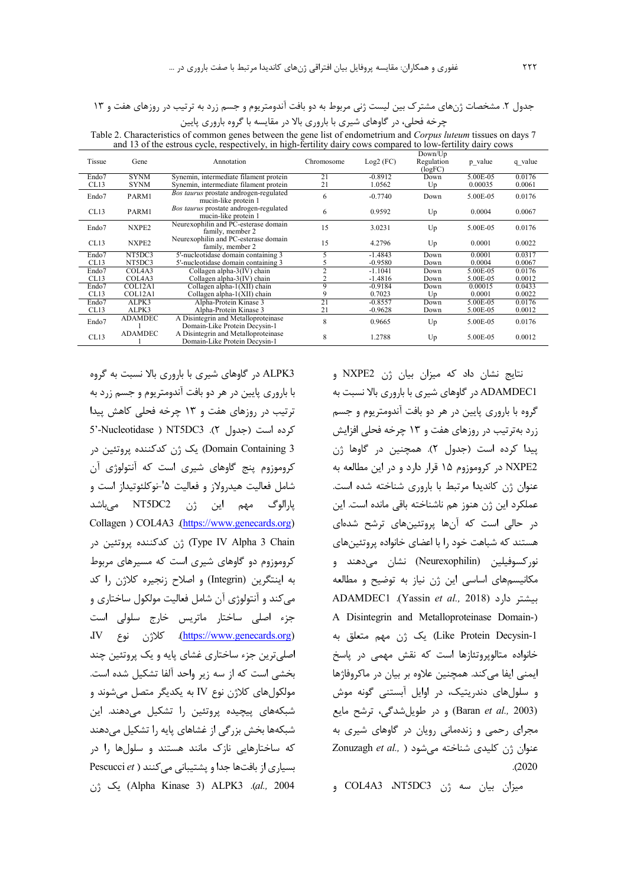جدول ۲. مشخصات ژنهای مشترک بین لیست ژنی مربوط به دو بافت آندومتریوم و جسم زرد به ترتیب در روزهای هفت و ۱۳

| Tissue | Gene              | --- <i>--</i> -<br>Annotation                                        | Chromosome | $Log2$ (FC) | Down/Up<br>Regulation<br>(logFC) | p value  | q value |
|--------|-------------------|----------------------------------------------------------------------|------------|-------------|----------------------------------|----------|---------|
| Endo7  | <b>SYNM</b>       | Synemin, intermediate filament protein                               | 21         | $-0.8912$   | Down                             | 5.00E-05 | 0.0176  |
| CL13   | <b>SYNM</b>       | Synemin, intermediate filament protein                               | 21         | 1.0562      | Up                               | 0.00035  | 0.0061  |
| Endo7  | PARM1             | Bos taurus prostate androgen-regulated<br>mucin-like protein 1       | 6          | $-0.7740$   | Down                             | 5.00E-05 | 0.0176  |
| CL13   | PARM1             | Bos taurus prostate androgen-regulated<br>mucin-like protein 1       | 6          | 0.9592      | Up                               | 0.0004   | 0.0067  |
| Endo7  | NXPE2             | Neurexophilin and PC-esterase domain<br>family, member 2             | 15         | 3.0231      | Up                               | 5.00E-05 | 0.0176  |
| CL13   | NXPE <sub>2</sub> | Neurexophilin and PC-esterase domain<br>family, member 2             | 15         | 4.2796      | Up                               | 0.0001   | 0.0022  |
| Endo7  | NT5DC3            | 5'-nucleotidase domain containing 3                                  | 5          | $-1.4843$   | Down                             | 0.0001   | 0.0317  |
| CL13   | NT5DC3            | 5'-nucleotidase domain containing 3                                  |            | $-0.9580$   | Down                             | 0.0004   | 0.0067  |
| Endo7  | COL4A3            | Collagen alpha-3(IV) chain                                           |            | $-1.1041$   | Down                             | 5.00E-05 | 0.0176  |
| CL13   | COL4A3            | Collagen alpha-3(IV) chain                                           |            | $-1.4816$   | Down                             | 5.00E-05 | 0.0012  |
| Endo7  | COL12A1           | Collagen alpha-1(XII) chain                                          | 9          | $-0.9184$   | Down                             | 0.00015  | 0.0433  |
| CL13   | COL12A1           | Collagen alpha-1(XII) chain                                          |            | 0.7023      | Up                               | 0.0001   | 0.0022  |
| Endo7  | ALPK3             | Alpha-Protein Kinase 3                                               | 21         | $-0.8557$   | Down                             | 5.00E-05 | 0.0176  |
| CL13   | ALPK3             | Alpha-Protein Kinase 3                                               | 21         | $-0.9628$   | Down                             | 5.00E-05 | 0.0012  |
| Endo7  | <b>ADAMDEC</b>    | A Disintegrin and Metalloproteinase<br>Domain-Like Protein Decysin-1 | 8          | 0.9665      | Up                               | 5.00E-05 | 0.0176  |
| CL13   | <b>ADAMDEC</b>    | A Disintegrin and Metalloproteinase<br>Domain-Like Protein Decysin-1 | 8          | 1.2788      | Up                               | 5.00E-05 | 0.0012  |

چرخه فحلی، در گاوهای شیری با باروری بالا در مقایسه با گروه باروری پایین Table 2. Characteristics of common genes between the gene list of endometrium and *Corpus luteum* tissues on days 7 and 13 of the estrous cycle, respectively, in high-fertility dairy cows compared to low-fertility dairy cows

> نتايج نشان داد كه ميزان بيان ژن NXPE2 و ADAMDEC1 در گاوهای شیری با باروری بالا نسبت به گروه با باروری پایین در هر دو بافت آندومتریوم و جسم زرد بهترتیب در روزهای هفت و ۱۳ چرخه فحلی افزایش پیدا کرده است (جدول ۲). همچنین در گاوها ژن NXPE2 در کروموزوم ۱۵ قرار دارد و در این مطالعه به عنوان ژن كانديدا مرتبط با باروري شناخته شده است. عملكرد اين ژن هنوز هم ناشناخته باقي مانده است. اين در حالی است که آنها پروتئینهای ترشح شدهای هستند که شباهت خود را با اعضای خانواده پروتئینهای نو, كسوفيلين (Neurexophilin) نشان مى دهند و مکانیسمهای اساسی این ژن نیاز به توضیح و مطالعه ADAMDEC1 .(Yassin *et al.,* 2018) بيشتر دارد A Disintegrin and Metalloproteinase Domain-) Like Protein Decysin-1) يک ژن مهم متعلق به خانواده متالویروتئازها است که نقش مهمی در یاسخ ایمنی ایفا می کند. همچنین علاوه بر بیان در ماکروفاژها و سلول های دندریتیک، در اوایل آبستنی گونه موش (Baran et al., 2003) و در طویل شدگی، ترشح مایع مجرای رحمی و زندهمانی رویان در گاوهای شیری به عنوان ژن کلیدی شناخته م<sub>ی</sub>شود ( ,Zonuzagh *et al* ( . 2020

ميزان بيان سه ژن NT5DC3 و

ALPK3 در گاوهای شیری با باروری بالا نسبت به گروه با باروري پايين در هر دو بافت آندومتريوم و جسم زرد به ترتیب در روزهای هفت و ۱۳ چرخه فحلی کاهش پیدا 5'-Nucleotidase ) NT5DC3 .(٢ جدول ٢). Domain Containing 3) یک ژن کدکننده پروتئین در کروموزوم پنج گاوهای شیری است که آنتولوژی آن شامل فعالیت هیدرولاز و فعالیت ۵'-نوکلئوتیداز است و پارالوگ مهم اين ژن NT5DC2 مىباشد Collagen ) COL4A3 .(https://www.genecards.org) Type IV Alpha 3 Chain) ژن کدکننده پروتئین در کروموزوم دو گاوهای شیری است که مسیرهای مربوط به اينتگرين (Integrin) و اصلاح زنجيره كلاژن را كد مي كند و آنتولوژي آن شامل فعاليت مولكول ساختاري و جزء اصلے, ساختار ماتریس خارج سلولی است  $\text{IV}$  كلاژن نوع (https://www.genecards.org) اصلي ترين جزء ساختاري غشاي پايه و يک پروتئين چند بخشی است که از سه زیر واحد آلفا تشکیل شده است. مولکولهای کلاژن نوع IV به یکدیگر متصل میشوند و شبکههای پیچیده پروتئین را تشکیل میدهند. این شبکهها بخش بزرگی از غشاهای پایه را تشکیل میدهند که ساختارهایی نازک مانند هستند و سلولها را در بسیاری از بافتها جدا و پشتیبانی می *کنند ( Pescucci et* 
. a\$ (Alpha Kinase 3) ALPK3 ( . *al.,* 2004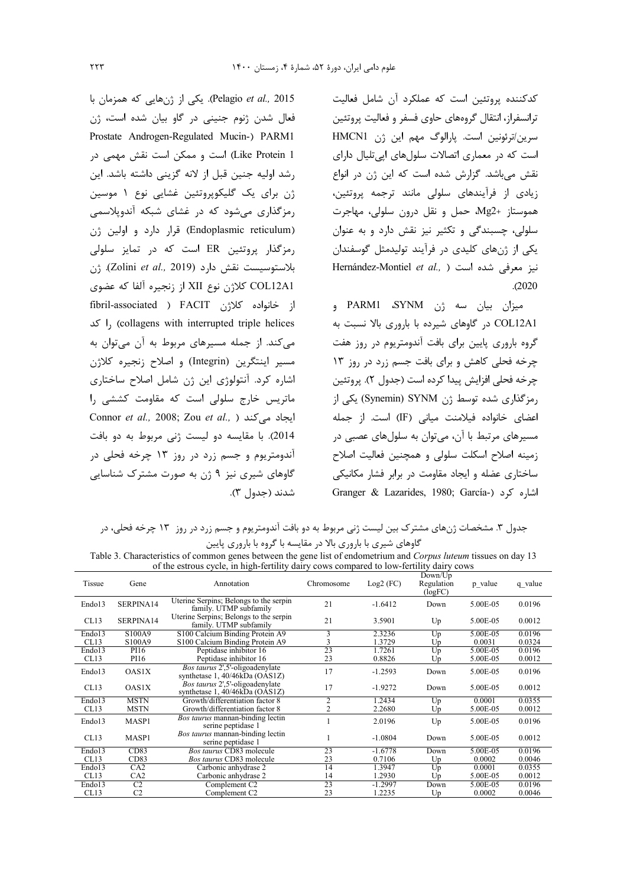كدكننده پروتئين است كه عملكرد آن شامل فعاليت ترانسفراز، انتقال گروههای حاوی فسفر و فعالیت پروتئین سرين/ترئونين است. پارالوگ مهم اين ژن HMCN1 است که در معماری اتصالات سلولهای ایی تلیال دارای نقش میباشد. گزارش شده است که این ژن در انواع زیادی از فرآیندهای سلولی مانند ترجمه پروتئین، هموستاز +Mg2 حمل و نقل درون سلولي، مهاجرت سلولي، چسبندگي و تکثير نيز نقش دارد و به عنوان یکی از ژنهای کلیدی در فرآیند تولیدمثل گوسفندان Hernández-Montiel et al., ) نيز معرفى شده است  $. (2020)$ 

ميزان بيان سه ژن PARM1 .SYNM و COL12A1 در گاوهای شیرده با باروری بالا نسبت به گروه باروری پایین برای بافت آندومتریوم در روز هفت چرخه فحلی کاهش و برای بافت جسم زرد در روز ١٣ چرخه فحلي افزايش پيدا كرده است (جدول ٢). پروتئين رمزگذاری شده توسط ژن Synemin) SYNM) یکی از اعضای خانواده فیلامنت میانی (IF) است. از جمله مسیرهای مرتبط با آن، میتوان به سلولهای عصبی در زمينه اصلاح اسكلت سلولى و همچنين فعاليت اصلاح ساختاری عضله و ایجاد مقاومت در برابر فشار مکانیکی Granger & Lazarides, 1980; García-) اشاره کرد

Pelagio et al., 2015). یکی از ژنهایی که همزمان با فعال شدن ژنوم جنینی در گاو بیان شده است، ژن Prostate Androgen-Regulated Mucin-) PARM1 Like Protein 1) است و ممكن است نقش مهمى در رشد اولیه جنین قبل از لانه گزینی داشته باشد. این ژن برای یک گلیکوپروتئین غشایی نوع ۱ موسین رمزگذاری میشود که در غشای شبکه آندوپلاسمی (Endoplasmic reticulum) قرار دارد و اولین ژن رمزگذار پروتئین ER است که در تمایز سلولی بلاستوسيست نقش دارد (Zolini et al., 2019). ژن COL12A1 كلاژن نوع XII از زنجيره آلفا كه عضوى از خانواده كلاژن FACIT ( fibril-associated ا کد l, (collagens with interrupted triple helices می کند. از جمله مسیرهای مربوط به آن می توان به مسير اينتگرين (Integrin) و اصلاح زنجيره كلاژن اشاره کرد. آنتولوژی این ژن شامل اصلاح ساختاری ماتریس خارج سلولی است که مقاومت کششی را Connor et al., 2008; Zou et al., ) ایجاد می کند 2014). با مقايسه دو ليست ژنى مربوط به دو بافت آندومتریوم و جسم زرد در روز ۱۳ چرخه فحلی در گاوهای شیری نیز ۹ ژن به صورت مشترک شناسایی شدند (جدول ۳).

جدول ۳. مشخصات ژنهای مشترک بین لیست ژنی مربوط به دو بافت آندومتریوم و جسم زرد در روز ۱۳ چرخه فحلی، در گاوهای شیری با باروری بالا در مقایسه با گروه با باروری پایین

| Table 3. Characteristics of common genes between the gene list of endometrium and Corpus luteum tissues on day 13 |
|-------------------------------------------------------------------------------------------------------------------|
| of the estrous cycle, in high-fertility dairy cows compared to low-fertility dairy cows                           |

| Tissue | Gene           | Annotation                                                        | Chromosome     | $Log2$ (FC) | Down/Up<br>Regulation<br>(logFC) | p value  | q value |
|--------|----------------|-------------------------------------------------------------------|----------------|-------------|----------------------------------|----------|---------|
| Endo13 | SERPINA14      | Uterine Serpins; Belongs to the serpin<br>family. UTMP subfamily  | 21             | $-1.6412$   | Down                             | 5.00E-05 | 0.0196  |
| CL13   | SERPINA14      | Uterine Serpins; Belongs to the serpin<br>family. UTMP subfamily  | 21             | 3.5901      | Up                               | 5.00E-05 | 0.0012  |
| Endo13 | S100A9         | S100 Calcium Binding Protein A9                                   | 3              | 2.3236      | Up                               | 5.00E-05 | 0.0196  |
| CL13   | S100A9         | S100 Calcium Binding Protein A9                                   | 3              | 1.3729      | Up                               | 0.0031   | 0.0324  |
| Endo13 | PI16           | Peptidase inhibitor 16                                            | 23             | 1.7261      | Up                               | 5.00E-05 | 0.0196  |
| CL13   | PI16           | Peptidase inhibitor 16                                            | 23             | 0.8826      | $U_{p}$                          | 5.00E-05 | 0.0012  |
| Endo13 | <b>OAS1X</b>   | Bos taurus 2',5'-oligoadenylate<br>synthetase 1, 40/46kDa (OAS1Z) | 17             | $-1.2593$   | Down                             | 5.00E-05 | 0.0196  |
| CL13   | <b>OAS1X</b>   | Bos taurus 2',5'-oligoadenylate<br>synthetase 1, 40/46kDa (OAS1Z) | 17             | $-1.9272$   | Down                             | 5.00E-05 | 0.0012  |
| Endo13 | <b>MSTN</b>    | Growth/differentiation factor 8                                   | $\overline{2}$ | 1.2434      | Up                               | 0.0001   | 0.0355  |
| CL13   | <b>MSTN</b>    | Growth/differentiation factor 8                                   |                | 2.2680      | Up                               | 5.00E-05 | 0.0012  |
| Endo13 | MASP1          | Bos taurus mannan-binding lectin<br>serine peptidase 1            |                | 2.0196      | Up                               | 5.00E-05 | 0.0196  |
| CL13   | MASP1          | <i>Bos taurus</i> mannan-binding lectin<br>serine peptidase 1     |                | $-1.0804$   | Down                             | 5.00E-05 | 0.0012  |
| Endo13 | CD83           | Bos taurus CD83 molecule                                          | 23             | $-1.6778$   | Down                             | 5.00E-05 | 0.0196  |
| CL13   | CD83           | Bos taurus CD83 molecule                                          | 23             | 0.7106      | Up                               | 0.0002   | 0.0046  |
| Endo13 | CA2            | Carbonic anhydrase 2                                              | 14             | 1.3947      | Up                               | 0.0001   | 0.0355  |
| CL13   | CA2            | Carbonic anhydrase 2                                              | 14             | 1.2930      | Up                               | 5.00E-05 | 0.0012  |
| Endo13 | C <sub>2</sub> | Complement C2                                                     | 23             | $-1.2997$   | Down                             | 5.00E-05 | 0.0196  |
| CL13   | C <sub>2</sub> | Complement C2                                                     | 23             | 1.2235      | $U_{p}$                          | 0.0002   | 0.0046  |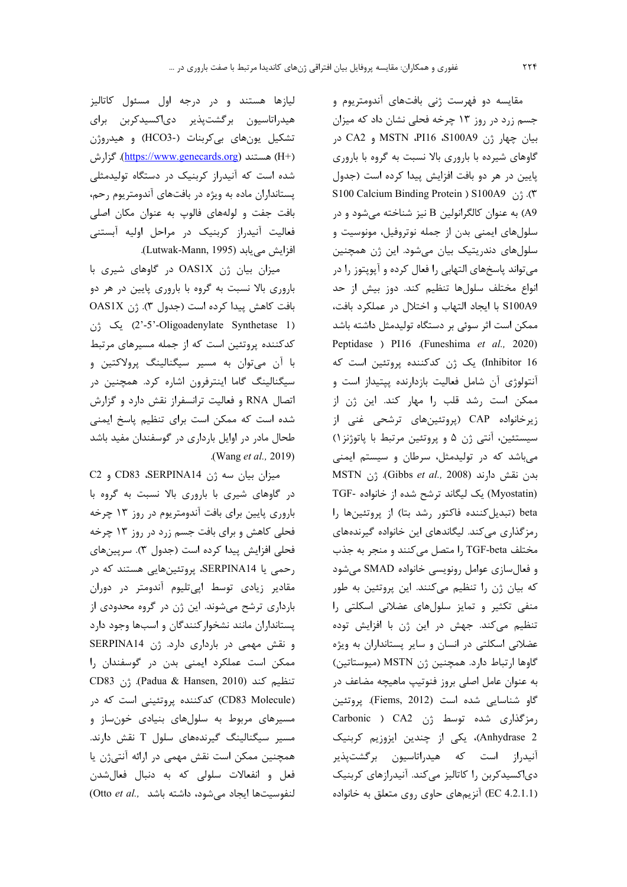مقایسه دو فهرست ژنی بافتهای آندومتریوم و جسم زرد در روز ۱۳ چرخه فحلی نشان داد که میزان بيان چهار ژن MSTN ،PI16 ،S100A9 و CA2 در گاوهای شیرده با باروری بالا نسبت به گروه با باروری پایین در هر دو بافت افزایش پیدا کرده است (جدول °C, S100 Calcium Binding Protein ) S100A9 (\*. A9) به عنوان كالگرانولين B نيز شناخته مي شود و در سلولهای ایمنی بدن از جمله نوتروفیل، مونوسیت و سلولهای دندریتیک بیان میشود. این ژن همچنین میتواند پاسخهای التهابی را فعال کرده و آپوپتوز را در انواع مختلف سلولها تنظيم كند. دوز بيش از حد S100A9 با ايجاد التهاب و اختلال در عملكرد بافت، ممکن است اثر سوئی بر دستگاه تولیدمثل داشته باشد Peptidase ) PI16 (Funeshima et al., 2020) Inhibitor 16) یک ژن کدکننده پروتئین است که آنتولوژی آن شامل فعالیت بازدارنده پپتیداز است و ممکن است رشد قلب را مهار کند. این ژن از زیرخانواده CAP (پروتئینهای ترشحی غنی از سیستئین، آنتی ژن ۵ و پروتئین مرتبط با پاتوژنز ۱) می باشد که در تولیدمثل، سرطان و سیستم ایمنی MSTN (Gibbs *et al.,* 2008). ژن MSTN (Myostatin) یک لیگاند ترشح شده از خانواده -TGF beta (تبدیل کننده فاکتور رشد بتا) از پروتئینها را رمزگذاری میکند. لیگاندهای این خانواده گیرندههای مختلف TGF-beta را متصل می کنند و منجر به جذب و فعال سازی عوامل رونویسی خانواده SMAD می شود که بیان ژن را تنظیم میکنند. این پروتئین به طور منفی تکثیر و تمایز سلولهای عضلانی اسکلتی را تنظیم میکند. جهش در این ژن با افزایش توده عضلانی اسکلتی در انسان و سایر پستانداران به ویژه گاوها ارتباط دارد. همچنین ژن MSTN (میوستاتین) به عنوان عامل اصلی بروز فنوتیپ ماهیچه مضاعف در گاو شناسایی شده است (Fiems, 2012). پروتئین رمزگذاری شده توسط ژن CA2 ( Carbonic Anhydrase 2)، یکی از چندین ایزوزیم کربنیک .<br>آنیدراز است که هیدراتاسیون برگشتپذیر دی|کسیدکربن را کاتالیز میکند. آنیدرازهای کربنیک (EC 4.2.1.1) آنزیمهای حاوی روی متعلق به خانواده

لیازها هستند و در درجه اول مسئول کاتالیز هیدراتاسیون برگشتپذیر دیاکسیدکربن برای تشکیل یونهای بیکربنات (-HCO3) و هیدروژن (H+) هستند (https://www.genecards.org). گزارش شده است که آنیدراز کربنیک در دستگاه تولیدمثلی پستانداران ماده به ویژه در بافتهای آندومتریوم رحم، بافت جفت و لولههای فالوپ به عنوان مکان اصلی فعالیت آنیدراز کربنیک در مراحل اولیه آبستنی افزايش مي يابد (Lutwak-Mann, 1995).

میزان بیان ژن OAS1X در گاوهای شیری با باروری بالا نسبت به گروه با باروری پایین در هر دو بافت كاهش پيدا كرده است (جدول ٣). ژن OAS1X (2'-5'-Oligoadenylate Synthetase 1) یک ژن کدکننده پروتئین است که از جمله مسیرهای مرتبط با آن مے توان به مسیر سیگنالینگ پرولاکتین و سیگنالینگ گاما اینترفرون اشاره کرد. همچنین در اتصال RNA وفعاليت ترانسفراز نقش دارد و گزارش شده است که ممکن است برای تنظیم پاسخ ایمنی طحال مادر در اوایل بارداری در گوسفندان مفید باشد (Wang et al., 2019).

ميزان بيان سه ژن CD83 ،SERPINA14 و C2 در گاوهای شیری با باروری بالا نسبت به گروه با باروری پایین برای بافت آندومتریوم در روز ۱۳ چرخه فحلی کاهش و برای بافت جسم زرد در روز ۱۳ چرخه فحلي افزايش پيدا كرده است (جدول ٣). سرپينهاي رحمی یا SERPINA14، پروتئینهایی هستند که در مقادیر زیادی توسط اپیتلیوم آندومتر در دوران بارداری ترشح میشوند. این ژن در گروه محدودی از پستانداران مانند نشخواركنندگان و اسبها وجود دارد و نقش مهمی در بارداری دارد. ژن SERPINA14 ممکن است عملکرد ایمنی بدن در گوسفندان را CD83 (Padua & Hansen, 2010). ژن CD83 (CD83 Molecule) کدکننده پروتئینی است که در مسیرهای مربوط به سلولهای بنیادی خونساز و مسیر سیگنالینگ گیرندههای سلول T نقش دارند. همچنین ممکن است نقش مهمی در ارائه آنتیژن یا فعل و انفعالات سلولی که به دنبال فعالشدن (Otto et al., نفوسيتها ايجاد مي شود، داشته باشد)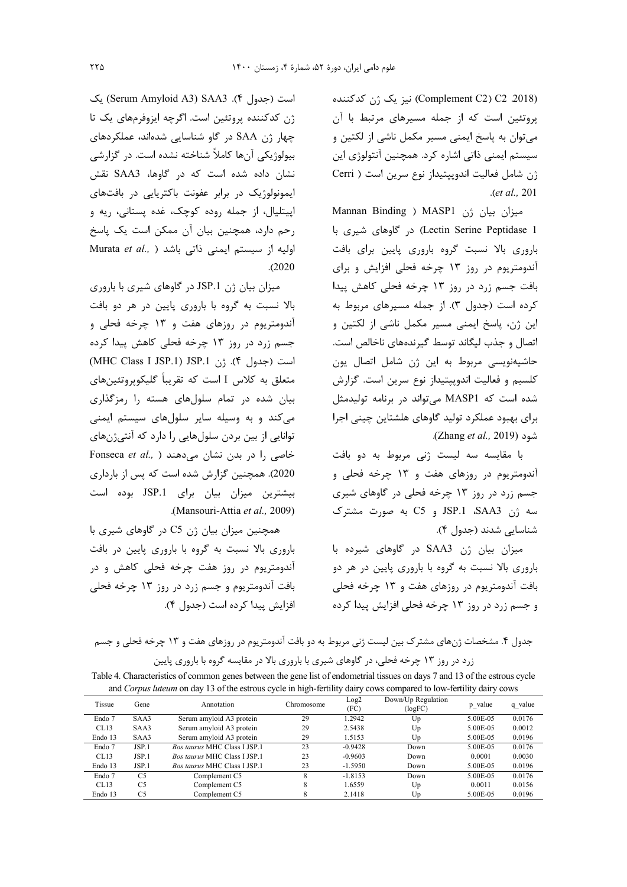(Complement C2) C2 .2018) نیز یک ژن کدکننده پروتئین است که از جمله مسیرهای مرتبط با آن می توان به پاسخ ایمنی مسیر مکمل ناشی از لکتین و سیستم ایمنی ذاتی اشاره کرد. همچنین آنتولوژی این ژن شامل فعالیت اندوپپتیداز نوع سرین است ( Cerri  $. (et al., 201)$ 

Mannan Binding ) MASP1 (ن Mannan Binding Lectin Serine Peptidase 1) در گاوهای شیری با باروری بالا نسبت گروه باروری پایین برای بافت آندومتریوم در روز ۱۳ چرخه فحلی افزایش و برای بافت جسم زرد در روز ١٣ چرخه فحلي كاهش پيدا کرده است (جدول ٣). از جمله مسیرهای مربوط به این ژن، پاسخ ایمنی مسیر مکمل ناشی از لکتین و اتصال و جذب لیگاند توسط گیرندههای ناخالص است. حاشیهنویسی مربوط به این ژن شامل اتصال یون کلسیم و فعالیت اندوپیتیداز نوع سرین است. گزارش شده است که MASP1 می تواند در برنامه تولیدمثل برای بهبود عملکرد تولید گاوهای هلشتاین چینی اجرا شود (Zhang et al., 2019).

با مقايسه سه ليست ژنى مربوط به دو بافت آندومتریوم در روزهای هفت و ۱۳ چرخه فحلی و جسم زرد در روز ۱۳ چرخه فحلی در گاوهای شیری سه ژن SAA3، JSP.1 و C5 به صورت مشترک شناسایی شدند (جدول ۴).

میزان بیان ژن SAA3 در گاوهای شیرده با باروری بالا نسبت به گروه با باروری پایین در هر دو بافت آندومتریوم در روزهای هفت و ۱۳ چرخه فحلی و جسم زرد در روز ۱۳ چرخه فحلی افزایش پیدا کرده

است (جدول ۴). Serum Amyloid A3) SAA3) یک ژن کدکننده پروتئین است. اگرچه ایزوفرمهای یک تا چهار ژن SAA در گاو شناسایی شدهاند، عملکردهای بیولوژیکی آنها کاملاً شناخته نشده است. در گزارشی نشان داده شده است که د<sub>ر</sub> گاوها، SAA3 نقش ایمونولوژیک در برابر عفونت باکتریایی در بافتهای اپیتلیال، از جمله روده کوچک، غده پستانی، ریه و رحم دارد، همچنین بیان آن ممکن است یک یاسخ Murata et al., ) اوليه از سيستم ايمنى ذاتى باشد  $. (2020)$ 

میزان بیان ژن JSP.1 در گاوهای شیری با باروری بالا نسبت به گروه با باروری پایین در هر دو بافت آندومتریوم در روزهای هفت و ۱۳ چرخه فحلی و جسم زرد در روز ۱۳ چرخه فحلی کاهش پیدا کرده است (جدول ۴). ژن MHC Class I JSP.1) JSP.1 متعلق به کلاس I است که تقریباً گلیکوپروتئینهای بیان شده در تمام سلولهای هسته را رمزگذاری می کند و به وسیله سایر سلولهای سیستم ایمنی توانایی از بین بردن سلولهایی را دارد که آنتیژنهای Fonseca et al., ) خاصی را در بدن نشان میدهند 2020). همچنین گزارش شده است که پس از بارداری بیشترین میزان بیان برای JSP.1 بوده است .(Mansouri-Attia et al., 2009)

همچنین میزان بیان ژن C5 در گاوهای شیری با باروری بالا نسبت به گروه با باروری پایین در بافت آندومتریوم در روز هفت چرخه فحلی کاهش و در بافت آندومتریوم و جسم زرد در روز ۱۳ چرخه فحلی افزايش ييدا كرده است (جدول ۴).

جدول ۴. مشخصات ژنهای مشترک بین لیست ژنی مربوط به دو بافت آندومتریوم در روزهای هفت و ۱۳ چرخه فحلی و جسم زرد در روز ۱۳ چرخه فحلی، در گاوهای شیری با باروری بالا در مقایسه گروه با باروری پایین

Table 4. Characteristics of common genes between the gene list of endometrial tissues on days 7 and 13 of the estrous cycle and Corpus luteum on day 13 of the estrous cycle in high-fertility dairy cows compared to low-fertility dairy cows

| Tissue  | Gene           | Annotation                         | Chromosome | Log2      | Down/Up Regulation | p value  | q value |
|---------|----------------|------------------------------------|------------|-----------|--------------------|----------|---------|
|         |                |                                    |            | (FC)      | (logFC)            |          |         |
| Endo 7  | SAA3           | Serum amyloid A3 protein           | 29         | 1.2942    | Up                 | 5.00E-05 | 0.0176  |
| CL13    | SAA3           | Serum amyloid A3 protein           | 29         | 2.5438    | Up                 | 5.00E-05 | 0.0012  |
| Endo 13 | SAA3           | Serum amyloid A3 protein           | 29         | 1.5153    | Up                 | 5.00E-05 | 0.0196  |
| Endo 7  | JSP.1          | <b>Bos taurus MHC Class LISP.1</b> | 23         | $-0.9428$ | Down               | 5.00E-05 | 0.0176  |
| CL13    | JSP.1          | <i>Bos taurus</i> MHC Class LJSP.1 | 23         | $-0.9603$ | Down               | 0.0001   | 0.0030  |
| Endo 13 | JSP.1          | Bos taurus MHC Class I JSP.1       | 23         | $-1.5950$ | Down               | 5.00E-05 | 0.0196  |
| Endo 7  | C <sub>5</sub> | Complement C5                      | 8          | $-1.8153$ | Down               | 5.00E-05 | 0.0176  |
| CL13    | C <sub>5</sub> | Complement C5                      | 8          | 1.6559    | Up                 | 0.0011   | 0.0156  |
| Endo 13 | C <sub>5</sub> | Complement C5                      | 8          | 2.1418    | Up                 | 5.00E-05 | 0.0196  |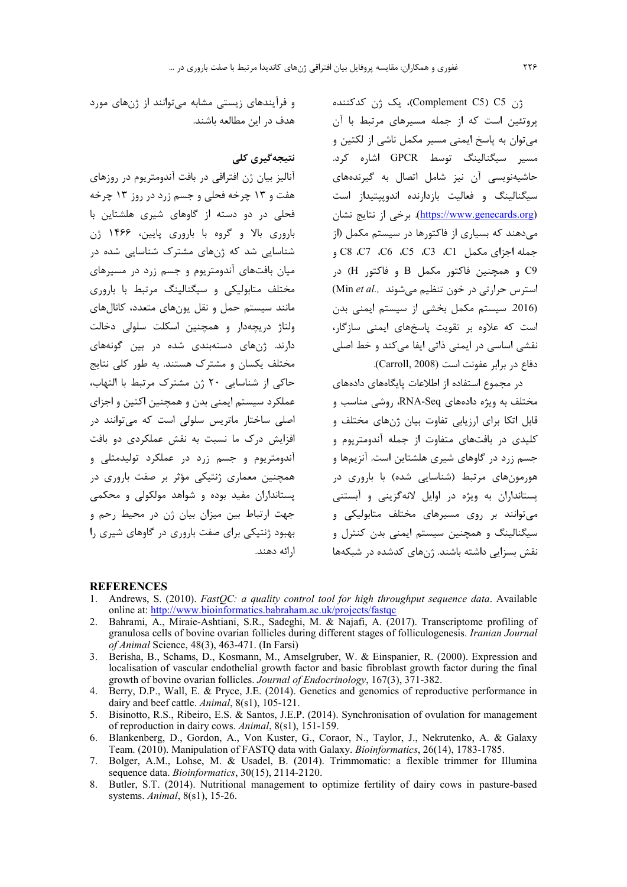ژن Complement C5) C5)، یک ژن کدکننده یروتئین است که از جمله مسیرهای مرتبط با آن میتوان به پاسخ ایمنی مسیر مکمل ناشی از لکتین و مسیر سیگنالینگ توسط GPCR اشاره کرد. حاشیهنویسی آن نیز شامل اتصال به گیرندههای سیگنالینگ و فعالیت بازدارنده اندوپپتیداز است (https://www.genecards.org). برخی از نتایج نشان می دهند که بسیاری از فاکتورها در سیستم مکمل (از جمله اجزاي مكمل C3 C3 C3 C3 c7 وC8 C7 و C9 و همچنین فاکتور مکمل B و فاکتور H) در استرس حرارتی در خون تنظیم میشوند ..(Min et al (2016. سیستم مکمل بخشی از سیستم ایمنی بدن است که علاوه بر تقویت پاسخهای ایمنی سازگار، نقشی اساسی در ایمنی ذاتی ایفا میکند و خط اصلی دفاع در برابر عفونت است (Carroll, 2008).

در مجموع استفاده از اطلاعات پایگاههای دادههای مختلف به ویژه دادههای RNA-Seq، روشی مناسب و قابل اتکا برای ارزیابی تفاوت بیان ژنهای مختلف و کلیدی در بافتهای متفاوت از جمله آندومتریوم و جسم زرد در گاوهای شیری هلشتاین است. آنزیمها و هورمونهای مرتبط (شناسایی شده) با باروری در یستانداران به ویژه در اوایل لانهگزینی و آبستنی می توانند بر روی مسیرهای مختلف متابولیکی و سیگنالینگ و همچنین سیستم ایمنی بدن کنترل و نقش بسزایی داشته باشند. ژنهای کدشده در شبکهها

و فرآیندهای زیستی مشابه می توانند از ژنهای مورد هدف در این مطالعه باشند.

### نتىجەگىرى كلى

آنالیز بیان ژن افتراقی در بافت آندومتریوم در روزهای هفت و ١٣ چرخه فحلي و جسم زرد در روز ١٣ چرخه فحلی در دو دسته از گاوهای شیری هلشتاین با باروري بالا و گروه با باروري پايين، ۱۴۶۶ ژن شناسایی شد که <sub>ژن</sub>های مشترک شناسایی شده د<sub>ر</sub> میان بافتهای آندومتریوم و جسم زرد در مسیرهای مختلف متابولیکی و سیگنالینگ مرتبط با باروری مانند سیستم حمل و نقل یونهای متعدد، کانالهای ولتاژ دریچهدار و همچنین اسکلت سلولی دخالت دارند. ژنهای دستهبندی شده در بین گونههای مختلف یکسان و مشترک هستند. به طور کلی نتایج حاكي از شناسايي ٢٠ ژن مشترك مرتبط با التهاب، عملکرد سیستم ایمنی بدن و همچنین اکتین و اجزای اصلی ساختار ماتریس سلولی است که می توانند در افزایش درک ما نسبت به نقش عملکردی دو بافت آندومتریوم و جسم زرد در عملکرد تولیدمثلی و همچنین معماری ژنتیکی مؤثر بر صفت باروری در یستانداران مفید بوده و شواهد مولکولی و محکمی جهت ارتباط بين ميزان بيان ژن در محيط رحم و بهبود ژنتیکی برای صفت باروری در گاوهای شیری را ا، ائه دهند.

## **REFERENCES**

- Andrews, S. (2010). FastOC: a quality control tool for high throughput sequence data. Available  $\mathbf{1}$ online at: http://www.bioinformatics.babraham.ac.uk/projects/fastqc
- Bahrami, A., Miraie-Ashtiani, S.R., Sadeghi, M. & Najafi, A. (2017). Transcriptome profiling of  $\mathcal{D}$ granulosa cells of bovine ovarian follicles during different stages of folliculogenesis. Iranian Journal of Animal Science, 48(3), 463-471. (In Farsi)
- 3. Berisha, B., Schams, D., Kosmann, M., Amselgruber, W. & Einspanier, R. (2000). Expression and localisation of vascular endothelial growth factor and basic fibroblast growth factor during the final growth of bovine ovarian follicles. Journal of Endocrinology, 167(3), 371-382.
- 4. Berry, D.P., Wall, E. & Pryce, J.E. (2014). Genetics and genomics of reproductive performance in dairy and beef cattle. Animal, 8(s1), 105-121.
- 5. Bisinotto, R.S., Ribeiro, E.S. & Santos, J.E.P. (2014). Synchronisation of ovulation for management of reproduction in dairy cows. Animal, 8(s1), 151-159.
- 6. Blankenberg, D., Gordon, A., Von Kuster, G., Coraor, N., Taylor, J., Nekrutenko, A. & Galaxy Team. (2010). Manipulation of FASTQ data with Galaxy. Bioinformatics, 26(14), 1783-1785.
- 7. Bolger, A.M., Lohse, M. & Usadel, B. (2014). Trimmomatic: a flexible trimmer for Illumina sequence data. Bioinformatics, 30(15), 2114-2120.
- 8. Butler, S.T. (2014). Nutritional management to optimize fertility of dairy cows in pasture-based systems. Animal,  $8(s1)$ , 15-26.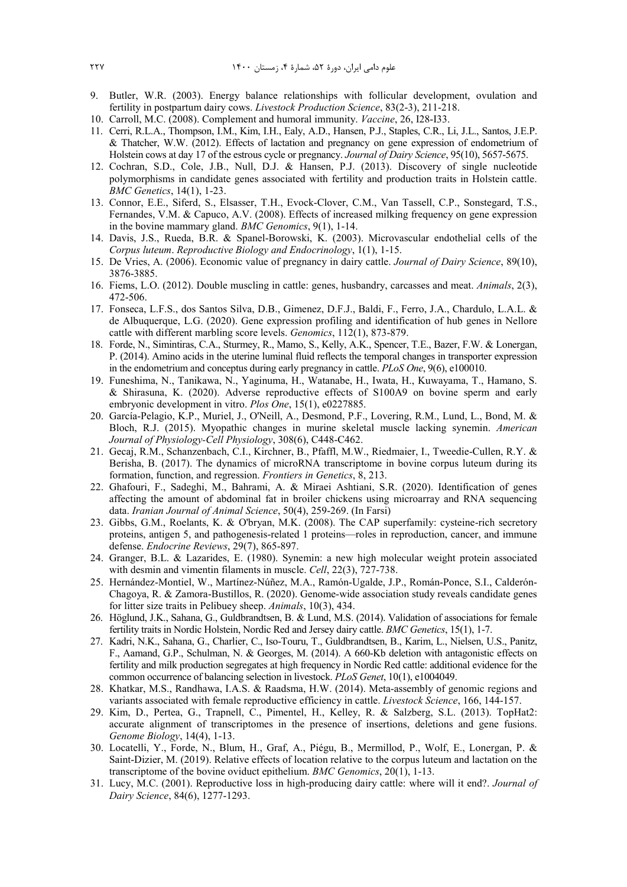- 9. Butler, W.R. (2003). Energy balance relationships with follicular development, ovulation and fertility in postpartum dairy cows. *Livestock Production Science*, 83(2-3), 211-218.
- 10. Carroll, M.C. (2008). Complement and humoral immunity. *Vaccine*, 26, I28-I33.
- 11. Cerri, R.L.A., Thompson, I.M., Kim, I.H., Ealy, A.D., Hansen, P.J., Staples, C.R., Li, J.L., Santos, J.E.P. & Thatcher, W.W. (2012). Effects of lactation and pregnancy on gene expression of endometrium of Holstein cows at day 17 of the estrous cycle or pregnancy. *Journal of Dairy Science*, 95(10), 5657-5675.
- 12. Cochran, S.D., Cole, J.B., Null, D.J. & Hansen, P.J. (2013). Discovery of single nucleotide polymorphisms in candidate genes associated with fertility and production traits in Holstein cattle. *BMC Genetics*, 14(1), 1-23.
- 13. Connor, E.E., Siferd, S., Elsasser, T.H., Evock-Clover, C.M., Van Tassell, C.P., Sonstegard, T.S., Fernandes, V.M. & Capuco, A.V. (2008). Effects of increased milking frequency on gene expression in the bovine mammary gland. *BMC Genomics*, 9(1), 1-14.
- 14. Davis, J.S., Rueda, B.R. & Spanel-Borowski, K. (2003). Microvascular endothelial cells of the *Corpus luteum*. *Reproductive Biology and Endocrinology*, 1(1), 1-15.
- 15. De Vries, A. (2006). Economic value of pregnancy in dairy cattle. *Journal of Dairy Science*, 89(10), 3876-3885.
- 16. Fiems, L.O. (2012). Double muscling in cattle: genes, husbandry, carcasses and meat. *Animals*, 2(3), 472-506.
- 17. Fonseca, L.F.S., dos Santos Silva, D.B., Gimenez, D.F.J., Baldi, F., Ferro, J.A., Chardulo, L.A.L. & de Albuquerque, L.G. (2020). Gene expression profiling and identification of hub genes in Nellore cattle with different marbling score levels. *Genomics*, 112(1), 873-879.
- 18. Forde, N., Simintiras, C.A., Sturmey, R., Mamo, S., Kelly, A.K., Spencer, T.E., Bazer, F.W. & Lonergan, P. (2014). Amino acids in the uterine luminal fluid reflects the temporal changes in transporter expression in the endometrium and conceptus during early pregnancy in cattle. *PLoS One*, 9(6), e100010.
- 19. Funeshima, N., Tanikawa, N., Yaginuma, H., Watanabe, H., Iwata, H., Kuwayama, T., Hamano, S. & Shirasuna, K. (2020). Adverse reproductive effects of S100A9 on bovine sperm and early embryonic development in vitro. *Plos One*, 15(1), e0227885.
- 20. García-Pelagio, K.P., Muriel, J., O'Neill, A., Desmond, P.F., Lovering, R.M., Lund, L., Bond, M. & Bloch, R.J. (2015). Myopathic changes in murine skeletal muscle lacking synemin. *American Journal of Physiology-Cell Physiology*, 308(6), C448-C462.
- 21. Gecaj, R.M., Schanzenbach, C.I., Kirchner, B., Pfaffl, M.W., Riedmaier, I., Tweedie-Cullen, R.Y. & Berisha, B. (2017). The dynamics of microRNA transcriptome in bovine corpus luteum during its formation, function, and regression. *Frontiers in Genetics*, 8, 213.
- 22. Ghafouri, F., Sadeghi, M., Bahrami, A. & Miraei Ashtiani, S.R. (2020). Identification of genes affecting the amount of abdominal fat in broiler chickens using microarray and RNA sequencing data. *Iranian Journal of Animal Science*, 50(4), 259-269. (In Farsi)
- 23. Gibbs, G.M., Roelants, K. & O'bryan, M.K. (2008). The CAP superfamily: cysteine-rich secretory proteins, antigen 5, and pathogenesis-related 1 proteins—roles in reproduction, cancer, and immune defense. *Endocrine Reviews*, 29(7), 865-897.
- 24. Granger, B.L. & Lazarides, E. (1980). Synemin: a new high molecular weight protein associated with desmin and vimentin filaments in muscle. *Cell*, 22(3), 727-738.
- 25. Hernández-Montiel, W., Martínez-Núñez, M.A., Ramón-Ugalde, J.P., Román-Ponce, S.I., Calderón-Chagoya, R. & Zamora-Bustillos, R. (2020). Genome-wide association study reveals candidate genes for litter size traits in Pelibuey sheep. *Animals*, 10(3), 434.
- 26. Höglund, J.K., Sahana, G., Guldbrandtsen, B. & Lund, M.S. (2014). Validation of associations for female fertility traits in Nordic Holstein, Nordic Red and Jersey dairy cattle. *BMC Genetics*, 15(1), 1-7.
- 27. Kadri, N.K., Sahana, G., Charlier, C., Iso-Touru, T., Guldbrandtsen, B., Karim, L., Nielsen, U.S., Panitz, F., Aamand, G.P., Schulman, N. & Georges, M. (2014). A 660-Kb deletion with antagonistic effects on fertility and milk production segregates at high frequency in Nordic Red cattle: additional evidence for the common occurrence of balancing selection in livestock. *PLoS Genet*, 10(1), e1004049.
- 28. Khatkar, M.S., Randhawa, I.A.S. & Raadsma, H.W. (2014). Meta-assembly of genomic regions and variants associated with female reproductive efficiency in cattle. *Livestock Science*, 166, 144-157.
- 29. Kim, D., Pertea, G., Trapnell, C., Pimentel, H., Kelley, R. & Salzberg, S.L. (2013). TopHat2: accurate alignment of transcriptomes in the presence of insertions, deletions and gene fusions. *Genome Biology*, 14(4), 1-13.
- 30. Locatelli, Y., Forde, N., Blum, H., Graf, A., Piégu, B., Mermillod, P., Wolf, E., Lonergan, P. & Saint-Dizier, M. (2019). Relative effects of location relative to the corpus luteum and lactation on the transcriptome of the bovine oviduct epithelium. *BMC Genomics*, 20(1), 1-13.
- 31. Lucy, M.C. (2001). Reproductive loss in high-producing dairy cattle: where will it end?. *Journal of Dairy Science*, 84(6), 1277-1293.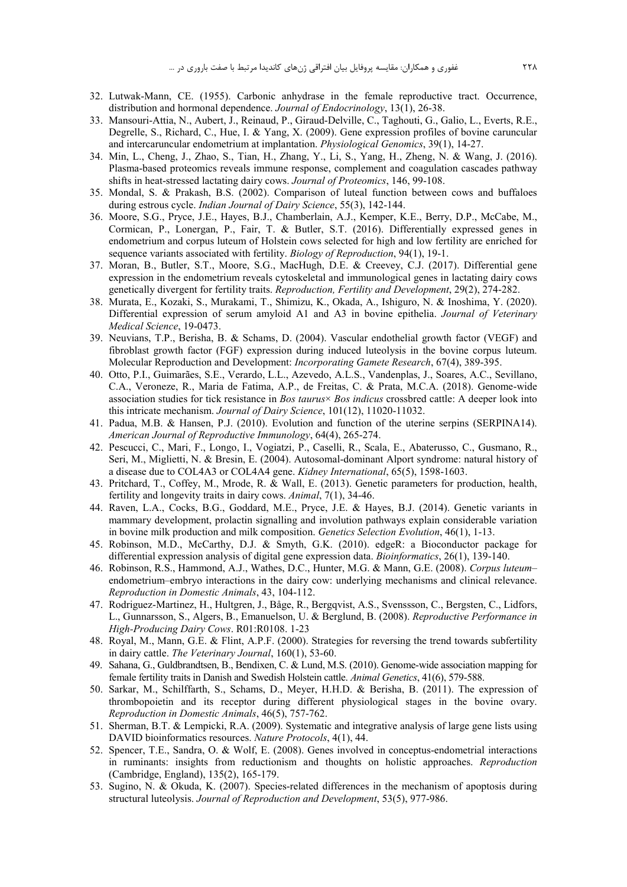- 32. Lutwak-Mann, CE. (1955). Carbonic anhydrase in the female reproductive tract. Occurrence, distribution and hormonal dependence. Journal of Endocrinology, 13(1), 26-38.
- 33. Mansouri-Attia, N., Aubert, J., Reinaud, P., Giraud-Delville, C., Taghouti, G., Galio, L., Everts, R.E., Degrelle, S., Richard, C., Hue, I. & Yang, X. (2009). Gene expression profiles of bovine caruncular and intercaruncular endometrium at implantation. *Physiological Genomics*, 39(1), 14-27.
- 34. Min, L., Cheng, J., Zhao, S., Tian, H., Zhang, Y., Li, S., Yang, H., Zheng, N. & Wang, J. (2016). Plasma-based proteomics reveals immune response, complement and coagulation cascades pathway shifts in heat-stressed lactating dairy cows. Journal of Proteomics, 146, 99-108.
- 35. Mondal, S. & Prakash, B.S. (2002). Comparison of luteal function between cows and buffaloes during estrous cycle. Indian Journal of Dairy Science, 55(3), 142-144.
- 36. Moore, S.G., Pryce, J.E., Hayes, B.J., Chamberlain, A.J., Kemper, K.E., Berry, D.P., McCabe, M., Cormican, P., Lonergan, P., Fair, T. & Butler, S.T. (2016). Differentially expressed genes in endometrium and corpus luteum of Holstein cows selected for high and low fertility are enriched for sequence variants associated with fertility. *Biology of Reproduction*, 94(1), 19-1.
- 37. Moran, B., Butler, S.T., Moore, S.G., MacHugh, D.E. & Creevey, C.J. (2017). Differential gene expression in the endometrium reveals cytoskeletal and immunological genes in lactating dairy cows genetically divergent for fertility traits. Reproduction, Fertility and Development, 29(2), 274-282.
- 38. Murata, E., Kozaki, S., Murakami, T., Shimizu, K., Okada, A., Ishiguro, N. & Inoshima, Y. (2020). Differential expression of serum amyloid A1 and A3 in bovine epithelia. Journal of Veterinary Medical Science, 19-0473.
- 39. Neuvians, T.P., Berisha, B. & Schams, D. (2004). Vascular endothelial growth factor (VEGF) and fibroblast growth factor (FGF) expression during induced luteolysis in the bovine corpus luteum. Molecular Reproduction and Development: Incorporating Gamete Research, 67(4), 389-395.
- 40. Otto, P.I., Guimarães, S.E., Verardo, L.L., Azevedo, A.L.S., Vandenplas, J., Soares, A.C., Sevillano, C.A., Veroneze, R., Maria de Fatima, A.P., de Freitas, C. & Prata, M.C.A. (2018). Genome-wide association studies for tick resistance in *Bos taurus*  $\times$  *Bos indicus* crossbred cattle: A deeper look into this intricate mechanism. Journal of Dairy Science, 101(12), 11020-11032.
- 41. Padua, M.B. & Hansen, P.J. (2010). Evolution and function of the uterine serpins (SERPINA14). American Journal of Reproductive Immunology, 64(4), 265-274.
- 42. Pescucci, C., Mari, F., Longo, I., Vogiatzi, P., Caselli, R., Scala, E., Abaterusso, C., Gusmano, R., Seri, M., Miglietti, N. & Bresin, E. (2004). Autosomal-dominant Alport syndrome: natural history of a disease due to COL4A3 or COL4A4 gene. Kidney International, 65(5), 1598-1603.
- 43. Pritchard, T., Coffey, M., Mrode, R. & Wall, E. (2013). Genetic parameters for production, health, fertility and longevity traits in dairy cows. Animal, 7(1), 34-46.
- 44. Raven, L.A., Cocks, B.G., Goddard, M.E., Pryce, J.E. & Hayes, B.J. (2014). Genetic variants in mammary development, prolactin signalling and involution pathways explain considerable variation in bovine milk production and milk composition. *Genetics Selection Evolution*,  $46(1)$ ,  $1-13$ .
- 45. Robinson, M.D., McCarthy, D.J. & Smyth, G.K. (2010). edgeR: a Bioconductor package for differential expression analysis of digital gene expression data. *Bioinformatics*, 26(1), 139-140.
- 46. Robinson, R.S., Hammond, A.J., Wathes, D.C., Hunter, M.G. & Mann, G.E. (2008). Corpus luteumendometrium-embryo interactions in the dairy cow: underlying mechanisms and clinical relevance. Reproduction in Domestic Animals, 43, 104-112.
- 47. Rodriguez-Martinez, H., Hultgren, J., Båge, R., Bergqvist, A.S., Svenssson, C., Bergsten, C., Lidfors, L., Gunnarsson, S., Algers, B., Emanuelson, U. & Berglund, B. (2008). Reproductive Performance in High-Producing Dairy Cows. R01:R0108. 1-23
- 48. Royal, M., Mann, G.E. & Flint, A.P.F. (2000). Strategies for reversing the trend towards subfertility in dairy cattle. The Veterinary Journal, 160(1), 53-60.
- 49. Sahana, G., Guldbrandtsen, B., Bendixen, C. & Lund, M.S. (2010). Genome-wide association mapping for female fertility traits in Danish and Swedish Holstein cattle. Animal Genetics, 41(6), 579-588.
- 50. Sarkar, M., Schilffarth, S., Schams, D., Meyer, H.H.D. & Berisha, B. (2011). The expression of thrombopoietin and its receptor during different physiological stages in the bovine ovary. Reproduction in Domestic Animals, 46(5), 757-762.
- 51. Sherman, B.T. & Lempicki, R.A. (2009). Systematic and integrative analysis of large gene lists using DAVID bioinformatics resources. Nature Protocols, 4(1), 44.
- 52. Spencer, T.E., Sandra, O. & Wolf, E. (2008). Genes involved in conceptus-endometrial interactions in ruminants: insights from reductionism and thoughts on holistic approaches. Reproduction (Cambridge, England), 135(2), 165-179.
- 53. Sugino, N. & Okuda, K. (2007). Species-related differences in the mechanism of apoptosis during structural luteolysis. Journal of Reproduction and Development, 53(5), 977-986.